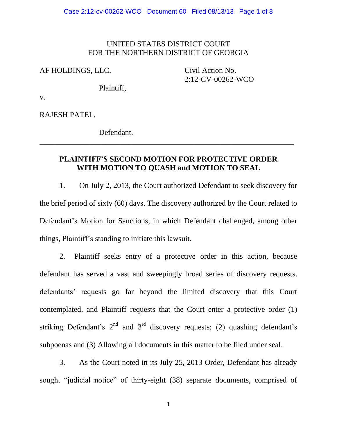## UNITED STATES DISTRICT COURT FOR THE NORTHERN DISTRICT OF GEORGIA

AF HOLDINGS, LLC, Civil Action No.

2:12-CV-00262-WCO

Plaintiff,

v.

RAJESH PATEL,

Defendant.

## **PLAINTIFF'S SECOND MOTION FOR PROTECTIVE ORDER WITH MOTION TO QUASH and MOTION TO SEAL**

 $\overline{\phantom{a}}$  , and the contribution of the contribution of the contribution of the contribution of the contribution of the contribution of the contribution of the contribution of the contribution of the contribution of the

1. On July 2, 2013, the Court authorized Defendant to seek discovery for the brief period of sixty (60) days. The discovery authorized by the Court related to Defendant's Motion for Sanctions, in which Defendant challenged, among other things, Plaintiff's standing to initiate this lawsuit.

2. Plaintiff seeks entry of a protective order in this action, because defendant has served a vast and sweepingly broad series of discovery requests. defendants' requests go far beyond the limited discovery that this Court contemplated, and Plaintiff requests that the Court enter a protective order (1) striking Defendant's  $2<sup>nd</sup>$  and  $3<sup>rd</sup>$  discovery requests; (2) quashing defendant's subpoenas and (3) Allowing all documents in this matter to be filed under seal.

3. As the Court noted in its July 25, 2013 Order, Defendant has already sought "judicial notice" of thirty-eight (38) separate documents, comprised of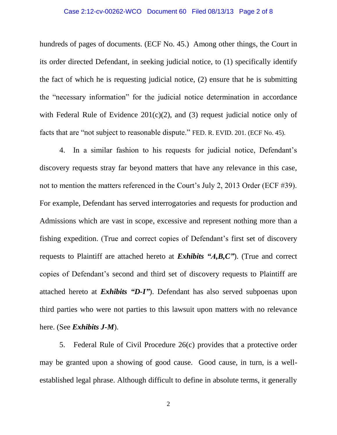#### Case 2:12-cv-00262-WCO Document 60 Filed 08/13/13 Page 2 of 8

hundreds of pages of documents. (ECF No. 45.) Among other things, the Court in its order directed Defendant, in seeking judicial notice, to (1) specifically identify the fact of which he is requesting judicial notice, (2) ensure that he is submitting the "necessary information" for the judicial notice determination in accordance with Federal Rule of Evidence  $201(c)(2)$ , and (3) request judicial notice only of facts that are "not subject to reasonable dispute." FED. R. EVID. 201. (ECF No. 45).

4. In a similar fashion to his requests for judicial notice, Defendant's discovery requests stray far beyond matters that have any relevance in this case, not to mention the matters referenced in the Court's July 2, 2013 Order (ECF #39). For example, Defendant has served interrogatories and requests for production and Admissions which are vast in scope, excessive and represent nothing more than a fishing expedition. (True and correct copies of Defendant's first set of discovery requests to Plaintiff are attached hereto at *Exhibits "A,B,C"*). (True and correct copies of Defendant's second and third set of discovery requests to Plaintiff are attached hereto at *Exhibits "D-I"*). Defendant has also served subpoenas upon third parties who were not parties to this lawsuit upon matters with no relevance here. (See *Exhibits J-M*).

5. Federal Rule of Civil Procedure 26(c) provides that a protective order may be granted upon a showing of good cause. Good cause, in turn, is a wellestablished legal phrase. Although difficult to define in absolute terms, it generally

2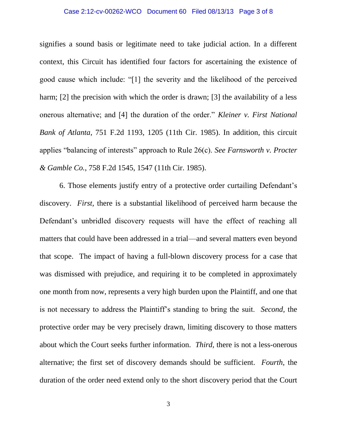#### Case 2:12-cv-00262-WCO Document 60 Filed 08/13/13 Page 3 of 8

signifies a sound basis or legitimate need to take judicial action. In a different context, this Circuit has identified four factors for ascertaining the existence of good cause which include: "[1] the severity and the likelihood of the perceived harm; [2] the precision with which the order is drawn; [3] the availability of a less onerous alternative; and [4] the duration of the order." *Kleiner v. First National Bank of Atlanta*, 751 F.2d 1193, 1205 (11th Cir. 1985). In addition, this circuit applies "balancing of interests" approach to Rule 26(c). *See Farnsworth v. Procter & Gamble Co.*, 758 F.2d 1545, 1547 (11th Cir. 1985).

6. Those elements justify entry of a protective order curtailing Defendant's discovery. *First,* there is a substantial likelihood of perceived harm because the Defendant's unbridled discovery requests will have the effect of reaching all matters that could have been addressed in a trial—and several matters even beyond that scope. The impact of having a full-blown discovery process for a case that was dismissed with prejudice, and requiring it to be completed in approximately one month from now, represents a very high burden upon the Plaintiff, and one that is not necessary to address the Plaintiff's standing to bring the suit. *Second,* the protective order may be very precisely drawn, limiting discovery to those matters about which the Court seeks further information. *Third,* there is not a less-onerous alternative; the first set of discovery demands should be sufficient. *Fourth,* the duration of the order need extend only to the short discovery period that the Court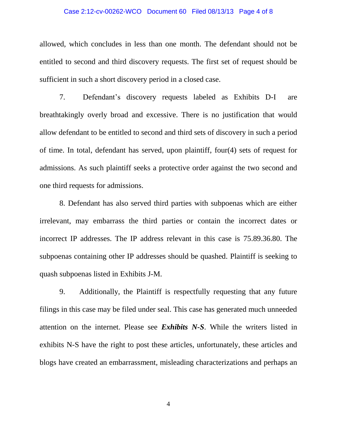#### Case 2:12-cv-00262-WCO Document 60 Filed 08/13/13 Page 4 of 8

allowed, which concludes in less than one month. The defendant should not be entitled to second and third discovery requests. The first set of request should be sufficient in such a short discovery period in a closed case.

7. Defendant's discovery requests labeled as Exhibits D-I are breathtakingly overly broad and excessive. There is no justification that would allow defendant to be entitled to second and third sets of discovery in such a period of time. In total, defendant has served, upon plaintiff, four(4) sets of request for admissions. As such plaintiff seeks a protective order against the two second and one third requests for admissions.

8. Defendant has also served third parties with subpoenas which are either irrelevant, may embarrass the third parties or contain the incorrect dates or incorrect IP addresses. The IP address relevant in this case is 75.89.36.80. The subpoenas containing other IP addresses should be quashed. Plaintiff is seeking to quash subpoenas listed in Exhibits J-M.

9. Additionally, the Plaintiff is respectfully requesting that any future filings in this case may be filed under seal. This case has generated much unneeded attention on the internet. Please see *Exhibits N-S*. While the writers listed in exhibits N-S have the right to post these articles, unfortunately, these articles and blogs have created an embarrassment, misleading characterizations and perhaps an

4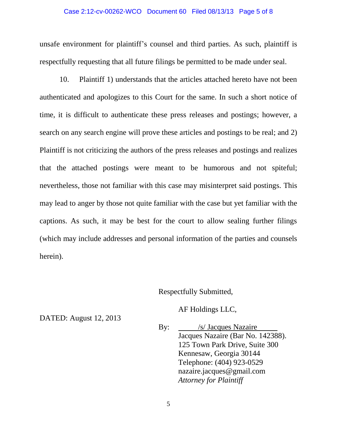#### Case 2:12-cv-00262-WCO Document 60 Filed 08/13/13 Page 5 of 8

unsafe environment for plaintiff's counsel and third parties. As such, plaintiff is respectfully requesting that all future filings be permitted to be made under seal.

10. Plaintiff 1) understands that the articles attached hereto have not been authenticated and apologizes to this Court for the same. In such a short notice of time, it is difficult to authenticate these press releases and postings; however, a search on any search engine will prove these articles and postings to be real; and 2) Plaintiff is not criticizing the authors of the press releases and postings and realizes that the attached postings were meant to be humorous and not spiteful; nevertheless, those not familiar with this case may misinterpret said postings. This may lead to anger by those not quite familiar with the case but yet familiar with the captions. As such, it may be best for the court to allow sealing further filings (which may include addresses and personal information of the parties and counsels herein).

## Respectfully Submitted,

AF Holdings LLC,

By: /s/ Jacques Nazaire Jacques Nazaire (Bar No. 142388). 125 Town Park Drive, Suite 300 Kennesaw, Georgia 30144 Telephone: (404) 923-0529 nazaire.jacques@gmail.com *Attorney for Plaintiff*

DATED: August 12, 2013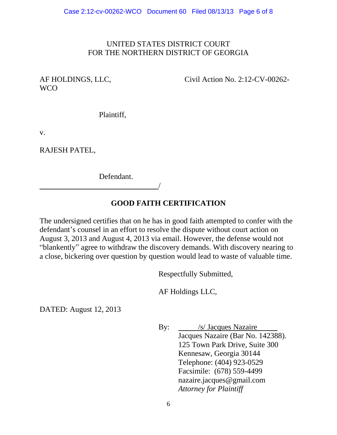## UNITED STATES DISTRICT COURT FOR THE NORTHERN DISTRICT OF GEORGIA

# WCO

AF HOLDINGS, LLC, Civil Action No. 2:12-CV-00262-

Plaintiff,

v.

RAJESH PATEL,

Defendant.

/

# **GOOD FAITH CERTIFICATION**

The undersigned certifies that on he has in good faith attempted to confer with the defendant's counsel in an effort to resolve the dispute without court action on August 3, 2013 and August 4, 2013 via email. However, the defense would not "blankently" agree to withdraw the discovery demands. With discovery nearing to a close, bickering over question by question would lead to waste of valuable time.

Respectfully Submitted,

AF Holdings LLC,

DATED: August 12, 2013

By: /s/ Jacques Nazaire Jacques Nazaire (Bar No. 142388). 125 Town Park Drive, Suite 300 Kennesaw, Georgia 30144 Telephone: (404) 923-0529 Facsimile: (678) 559-4499 nazaire.jacques@gmail.com *Attorney for Plaintiff*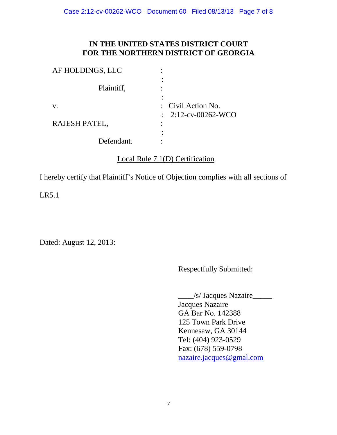# **IN THE UNITED STATES DISTRICT COURT FOR THE NORTHERN DISTRICT OF GEORGIA**

| AF HOLDINGS, LLC |                                                      |
|------------------|------------------------------------------------------|
| Plaintiff,       |                                                      |
| V.               | : Civil Action No.<br>$\therefore$ 2:12-cv-00262-WCO |
| RAJESH PATEL,    |                                                      |
| Defendant.       |                                                      |

# Local Rule 7.1(D) Certification

I hereby certify that Plaintiff's Notice of Objection complies with all sections of

LR5.1

Dated: August 12, 2013:

Respectfully Submitted:

\_\_\_\_/s/ Jacques Nazaire\_\_\_\_\_

Jacques Nazaire GA Bar No. 142388 125 Town Park Drive Kennesaw, GA 30144 Tel: (404) 923-0529 Fax: (678) 559-0798 [nazaire.jacques@gmal.](mailto:nazaire.jacques@gmal)com